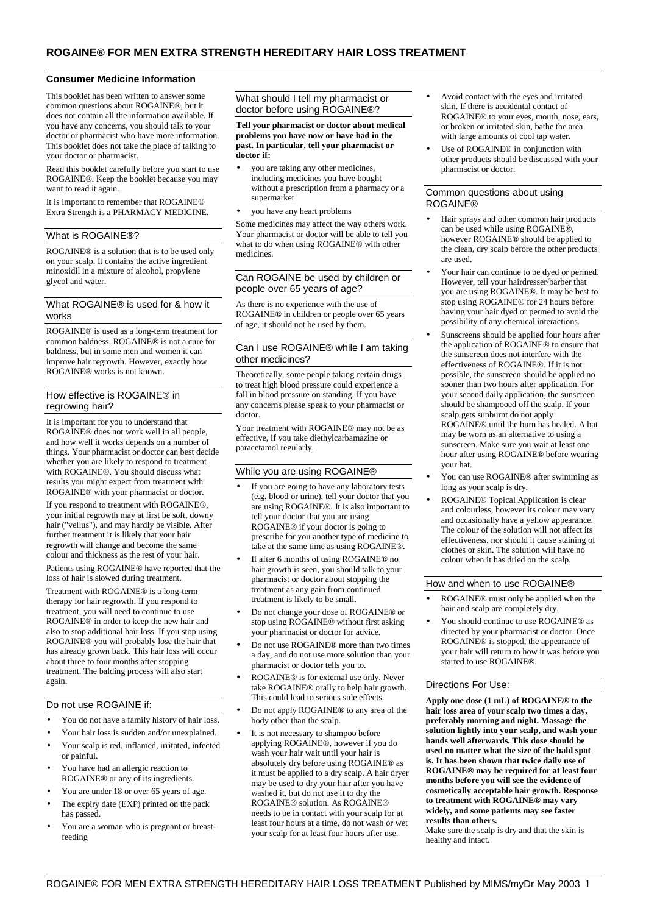## **Consumer Medicine Information**

This booklet has been written to answer some common questions about ROGAINE®, but it does not contain all the information available. If you have any concerns, you should talk to your doctor or pharmacist who have more information. This booklet does not take the place of talking to your doctor or pharmacist.

Read this booklet carefully before you start to use ROGAINE®. Keep the booklet because you may want to read it again.

It is important to remember that ROGAINE® Extra Strength is a PHARMACY MEDICINE.

### What is ROGAINE®?

ROGAINE® is a solution that is to be used only on your scalp. It contains the active ingredient minoxidil in a mixture of alcohol, propylene glycol and water.

## What ROGAINE® is used for & how it works

ROGAINE® is used as a long-term treatment for common baldness. ROGAINE® is not a cure for baldness, but in some men and women it can improve hair regrowth. However, exactly how ROGAINE® works is not known.

### How effective is ROGAINE® in regrowing hair?

It is important for you to understand that ROGAINE® does not work well in all people, and how well it works depends on a number of things. Your pharmacist or doctor can best decide whether you are likely to respond to treatment with ROGAINE®. You should discuss what results you might expect from treatment with ROGAINE® with your pharmacist or doctor.

If you respond to treatment with ROGAINE®, your initial regrowth may at first be soft, downy hair ("vellus"), and may hardly be visible. After further treatment it is likely that your hair regrowth will change and become the same colour and thickness as the rest of your hair.

Patients using ROGAINE® have reported that the loss of hair is slowed during treatment.

Treatment with ROGAINE® is a long-term therapy for hair regrowth. If you respond to treatment, you will need to continue to use ROGAINE® in order to keep the new hair and also to stop additional hair loss. If you stop using ROGAINE® you will probably lose the hair that has already grown back. This hair loss will occur about three to four months after stopping treatment. The balding process will also start again.

### Do not use ROGAINE if:

- You do not have a family history of hair loss.
- Your hair loss is sudden and/or unexplained.
- Your scalp is red, inflamed, irritated, infected or painful.
- You have had an allergic reaction to ROGAINE® or any of its ingredients.
- You are under 18 or over 65 years of age.
- The expiry date (EXP) printed on the pack has passed.
- You are a woman who is pregnant or breastfeeding

# What should I tell my pharmacist or doctor before using ROGAINE®?

**Tell your pharmacist or doctor about medical problems you have now or have had in the past. In particular, tell your pharmacist or doctor if:** 

- you are taking any other medicines, including medicines you have bought without a prescription from a pharmacy or a supermarket
- you have any heart problems

Some medicines may affect the way others work. Your pharmacist or doctor will be able to tell you what to do when using ROGAINE® with other medicines.

## Can ROGAINE be used by children or people over 65 years of age?

As there is no experience with the use of ROGAINE® in children or people over 65 years of age, it should not be used by them.

## Can I use ROGAINE® while I am taking other medicines?

Theoretically, some people taking certain drugs to treat high blood pressure could experience a fall in blood pressure on standing. If you have any concerns please speak to your pharmacist or doctor.

Your treatment with ROGAINE® may not be as effective, if you take diethylcarbamazine or paracetamol regularly.

### While you are using ROGAINE®

- If you are going to have any laboratory tests (e.g. blood or urine), tell your doctor that you are using ROGAINE®. It is also important to tell your doctor that you are using ROGAINE® if your doctor is going to prescribe for you another type of medicine to take at the same time as using ROGAINE®.
- If after 6 months of using ROGAINE® no hair growth is seen, you should talk to your pharmacist or doctor about stopping the treatment as any gain from continued treatment is likely to be small.
- Do not change your dose of ROGAINE® or stop using ROGAINE® without first asking your pharmacist or doctor for advice.
- Do not use ROGAINE® more than two times a day, and do not use more solution than your pharmacist or doctor tells you to.
- ROGAINE® is for external use only. Never take ROGAINE® orally to help hair growth. This could lead to serious side effects.
- Do not apply ROGAINE® to any area of the body other than the scalp.
- It is not necessary to shampoo before applying ROGAINE®, however if you do wash your hair wait until your hair is absolutely dry before using ROGAINE® as it must be applied to a dry scalp. A hair dryer may be used to dry your hair after you have washed it, but do not use it to dry the ROGAINE® solution. As ROGAINE® needs to be in contact with your scalp for at least four hours at a time, do not wash or wet your scalp for at least four hours after use.
- Avoid contact with the eyes and irritated skin. If there is accidental contact of ROGAINE® to your eyes, mouth, nose, ears, or broken or irritated skin, bathe the area with large amounts of cool tap water.
- Use of ROGAINE® in conjunction with other products should be discussed with your pharmacist or doctor.

### Common questions about using ROGAINE®

- Hair sprays and other common hair products can be used while using ROGAINE®, however ROGAINE® should be applied to the clean, dry scalp before the other products are used.
- Your hair can continue to be dyed or permed. However, tell your hairdresser/barber that you are using ROGAINE®. It may be best to stop using ROGAINE® for 24 hours before having your hair dyed or permed to avoid the possibility of any chemical interactions.
- Sunscreens should be applied four hours after the application of ROGAINE® to ensure that the sunscreen does not interfere with the effectiveness of ROGAINE®. If it is not possible, the sunscreen should be applied no sooner than two hours after application. For your second daily application, the sunscreen should be shampooed off the scalp. If your scalp gets sunburnt do not apply ROGAINE® until the burn has healed. A hat may be worn as an alternative to using a sunscreen. Make sure you wait at least one hour after using ROGAINE® before wearing your hat.
- You can use ROGAINE® after swimming as long as your scalp is dry.
- ROGAINE® Topical Application is clear and colourless, however its colour may vary and occasionally have a yellow appearance. The colour of the solution will not affect its effectiveness, nor should it cause staining of clothes or skin. The solution will have no colour when it has dried on the scalp.

## How and when to use ROGAINE®

- ROGAINE® must only be applied when the hair and scalp are completely dry.
- You should continue to use ROGAINE® as directed by your pharmacist or doctor. Once ROGAINE® is stopped, the appearance of your hair will return to how it was before you started to use ROGAINE®.

### Directions For Use:

**Apply one dose (1 mL) of ROGAINE® to the hair loss area of your scalp two times a day, preferably morning and night. Massage the solution lightly into your scalp, and wash your hands well afterwards. This dose should be used no matter what the size of the bald spot is. It has been shown that twice daily use of ROGAINE® may be required for at least four months before you will see the evidence of cosmetically acceptable hair growth. Response to treatment with ROGAINE® may vary widely, and some patients may see faster results than others.** 

Make sure the scalp is dry and that the skin is healthy and intact.